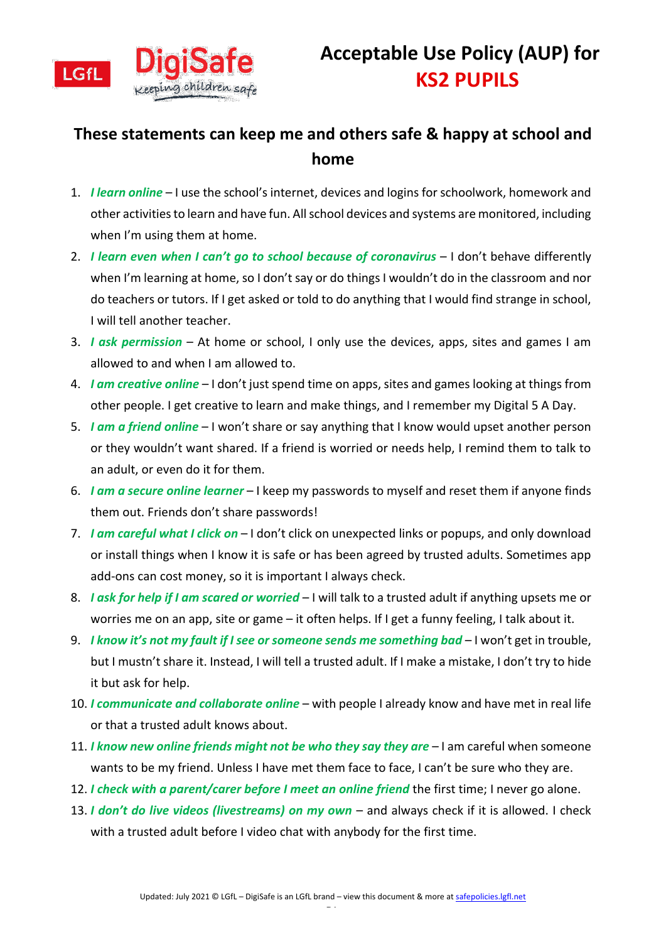

## **These statements can keep me and others safe & happy at school and home**

- 1. *I learn online*  I use the school's internet, devices and logins for schoolwork, homework and other activities to learn and have fun. All school devices and systems are monitored, including when I'm using them at home.
- 2. *I learn even when I can't go to school because of coronavirus* I don't behave differently when I'm learning at home, so I don't say or do things I wouldn't do in the classroom and nor do teachers or tutors. If I get asked or told to do anything that I would find strange in school, I will tell another teacher.
- 3. *I ask permission*  At home or school, I only use the devices, apps, sites and games I am allowed to and when I am allowed to.
- 4. *I am creative online* I don't just spend time on apps, sites and games looking at things from other people. I get creative to learn and make things, and I remember my Digital 5 A Day.
- 5. *I am a friend online*  I won't share or say anything that I know would upset another person or they wouldn't want shared. If a friend is worried or needs help, I remind them to talk to an adult, or even do it for them.
- 6. *I am a secure online learner* I keep my passwords to myself and reset them if anyone finds them out. Friends don't share passwords!
- 7. *I am careful what I click on*  I don't click on unexpected links or popups, and only download or install things when I know it is safe or has been agreed by trusted adults. Sometimes app add-ons can cost money, so it is important I always check.
- 8. *I ask for help if I am scared or worried*  I will talk to a trusted adult if anything upsets me or worries me on an app, site or game – it often helps. If I get a funny feeling, I talk about it.
- 9. *I know it's not my fault if I see or someone sends me something bad* I won't get in trouble, but I mustn't share it. Instead, I will tell a trusted adult. If I make a mistake, I don't try to hide it but ask for help.
- 10. *I communicate and collaborate online* with people I already know and have met in real life or that a trusted adult knows about.
- 11. *I know new online friends might not be who they say they are* I am careful when someone wants to be my friend. Unless I have met them face to face, I can't be sure who they are.
- 12. *I check with a parent/carer before I meet an online friend* the first time; I never go alone.
- 13. *I don't do live videos (livestreams) on my own*  and always check if it is allowed. I check with a trusted adult before I video chat with anybody for the first time.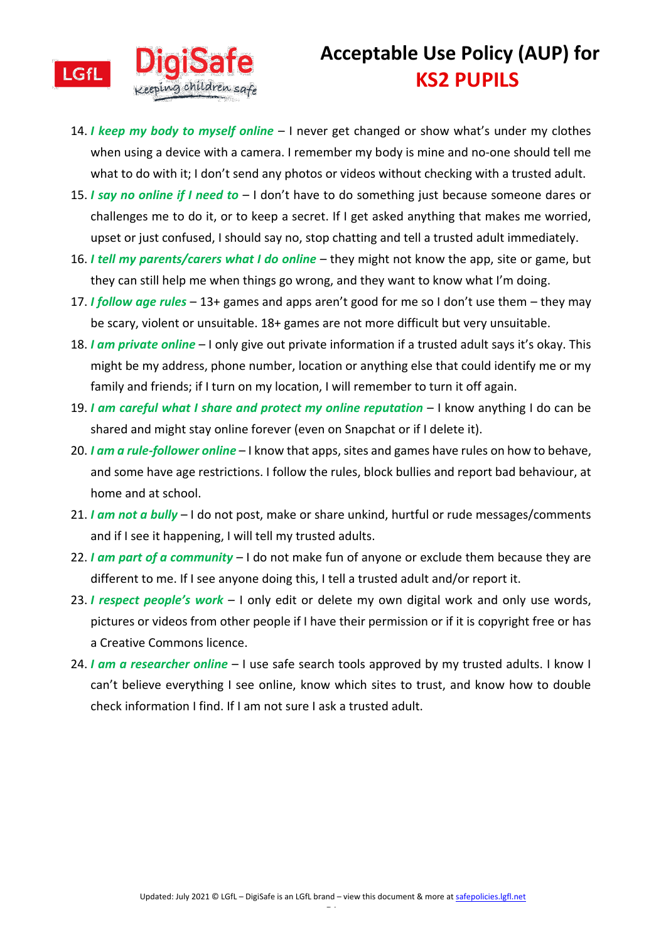

- 14. *I keep my body to myself online*  I never get changed or show what's under my clothes when using a device with a camera. I remember my body is mine and no-one should tell me what to do with it; I don't send any photos or videos without checking with a trusted adult.
- 15. *I say no online if I need to*  I don't have to do something just because someone dares or challenges me to do it, or to keep a secret. If I get asked anything that makes me worried, upset or just confused, I should say no, stop chatting and tell a trusted adult immediately.
- 16. *I tell my parents/carers what I do online* they might not know the app, site or game, but they can still help me when things go wrong, and they want to know what I'm doing.
- 17. *I follow age rules*  13+ games and apps aren't good for me so I don't use them they may be scary, violent or unsuitable. 18+ games are not more difficult but very unsuitable.
- 18. *I am private online* I only give out private information if a trusted adult says it's okay. This might be my address, phone number, location or anything else that could identify me or my family and friends; if I turn on my location, I will remember to turn it off again.
- 19. *I am careful what I share and protect my online reputation* I know anything I do can be shared and might stay online forever (even on Snapchat or if I delete it).
- 20. *I am a rule-follower online* I know that apps, sites and games have rules on how to behave, and some have age restrictions. I follow the rules, block bullies and report bad behaviour, at home and at school.
- 21. *I am not a bully*  I do not post, make or share unkind, hurtful or rude messages/comments and if I see it happening, I will tell my trusted adults.
- 22. *I am part of a community*  I do not make fun of anyone or exclude them because they are different to me. If I see anyone doing this, I tell a trusted adult and/or report it.
- 23. *I respect people's work*  I only edit or delete my own digital work and only use words, pictures or videos from other people if I have their permission or if it is copyright free or has a Creative Commons licence.
- 24. *I am a researcher online* I use safe search tools approved by my trusted adults. I know I can't believe everything I see online, know which sites to trust, and know how to double check information I find. If I am not sure I ask a trusted adult.